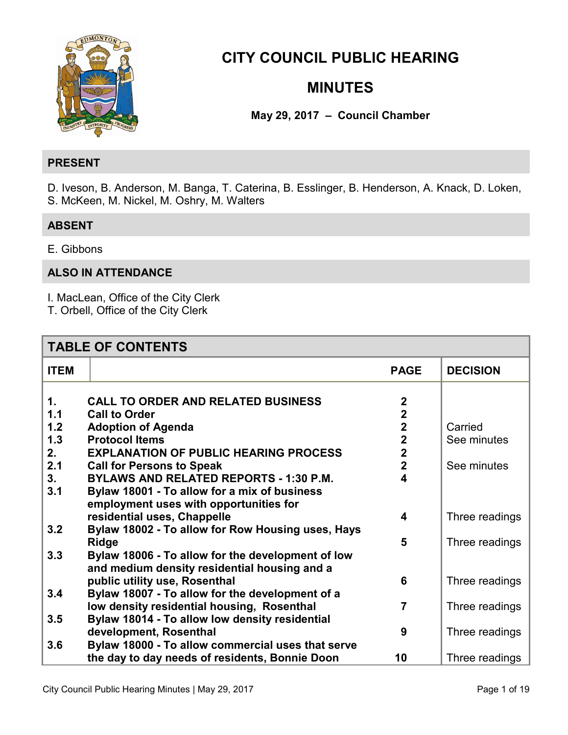

# **CITY COUNCIL PUBLIC HEARING**

# **MINUTES**

**May 29, 2017 – Council Chamber** 

#### **PRESENT**

D. Iveson, B. Anderson, M. Banga, T. Caterina, B. Esslinger, B. Henderson, A. Knack, D. Loken, S. McKeen, M. Nickel, M. Oshry, M. Walters

## **ABSENT**

E. Gibbons

## **ALSO IN ATTENDANCE**

I. MacLean, Office of the City Clerk

T. Orbell, Office of the City Clerk

| <b>TABLE OF CONTENTS</b> |                                                   |                |                 |
|--------------------------|---------------------------------------------------|----------------|-----------------|
| <b>ITEM</b>              |                                                   | <b>PAGE</b>    | <b>DECISION</b> |
|                          |                                                   |                |                 |
| 1.                       | <b>CALL TO ORDER AND RELATED BUSINESS</b>         | $\overline{2}$ |                 |
| 1.1                      | <b>Call to Order</b>                              | $\overline{2}$ |                 |
| 1.2                      | <b>Adoption of Agenda</b>                         | $\mathbf{2}$   | Carried         |
| 1.3                      | <b>Protocol Items</b>                             | $\mathbf 2$    | See minutes     |
| 2.                       | <b>EXPLANATION OF PUBLIC HEARING PROCESS</b>      | $\overline{2}$ |                 |
| 2.1                      | <b>Call for Persons to Speak</b>                  | $\overline{2}$ | See minutes     |
| 3.                       | <b>BYLAWS AND RELATED REPORTS - 1:30 P.M.</b>     | 4              |                 |
| 3.1                      | Bylaw 18001 - To allow for a mix of business      |                |                 |
|                          | employment uses with opportunities for            |                |                 |
|                          | residential uses, Chappelle                       | 4              | Three readings  |
| 3.2                      | Bylaw 18002 - To allow for Row Housing uses, Hays |                |                 |
|                          | <b>Ridge</b>                                      | 5              | Three readings  |
| 3.3                      | Bylaw 18006 - To allow for the development of low |                |                 |
|                          | and medium density residential housing and a      |                |                 |
|                          | public utility use, Rosenthal                     | 6              | Three readings  |
| 3.4                      | Bylaw 18007 - To allow for the development of a   |                |                 |
|                          | low density residential housing, Rosenthal        | 7              | Three readings  |
| 3.5                      | Bylaw 18014 - To allow low density residential    |                |                 |
|                          | development, Rosenthal                            | 9              | Three readings  |
| 3.6                      | Bylaw 18000 - To allow commercial uses that serve |                |                 |
|                          | the day to day needs of residents, Bonnie Doon    | 10             | Three readings  |
|                          |                                                   |                |                 |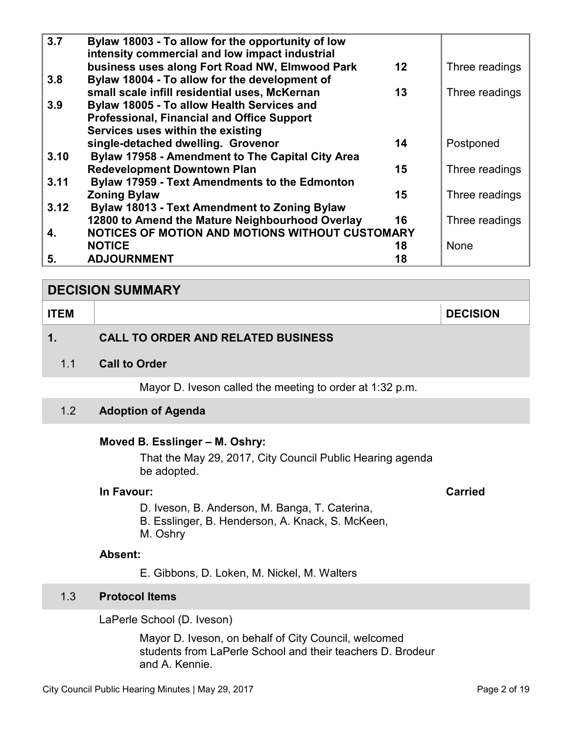<span id="page-1-0"></span>

| 3.7  | Bylaw 18003 - To allow for the opportunity of low<br>intensity commercial and low impact industrial |                |
|------|-----------------------------------------------------------------------------------------------------|----------------|
|      | business uses along Fort Road NW, Elmwood Park<br>$12 \,$                                           | Three readings |
| 3.8  | Bylaw 18004 - To allow for the development of                                                       |                |
|      | small scale infill residential uses, McKernan<br>13                                                 | Three readings |
| 3.9  | Bylaw 18005 - To allow Health Services and                                                          |                |
|      | <b>Professional, Financial and Office Support</b>                                                   |                |
|      | Services uses within the existing                                                                   |                |
|      | single-detached dwelling. Grovenor<br>14                                                            | Postponed      |
| 3.10 | Bylaw 17958 - Amendment to The Capital City Area                                                    |                |
|      | <b>Redevelopment Downtown Plan</b><br>15                                                            | Three readings |
| 3.11 | <b>Bylaw 17959 - Text Amendments to the Edmonton</b>                                                |                |
|      | <b>Zoning Bylaw</b><br>15                                                                           | Three readings |
| 3.12 | <b>Bylaw 18013 - Text Amendment to Zoning Bylaw</b>                                                 |                |
|      | 12800 to Amend the Mature Neighbourhood Overlay<br>16                                               | Three readings |
| 4.   | NOTICES OF MOTION AND MOTIONS WITHOUT CUSTOMARY                                                     |                |
|      | <b>NOTICE</b><br>18                                                                                 | <b>None</b>    |
| 5.   | <b>ADJOURNMENT</b><br>18                                                                            |                |

#### **DECISION SUMMARY**

| <b>ITEM</b> |                                           | <b>DECISION</b> |
|-------------|-------------------------------------------|-----------------|
|             | <b>CALL TO ORDER AND RELATED BUSINESS</b> |                 |

1.1 **Call to Order** 

Mayor D. Iveson called the meeting to order at 1:32 p.m.

#### 1.2 **Adoption of Agenda**

#### **Moved B. Esslinger – M. Oshry:**

That the May 29, 2017, City Council Public Hearing agenda be adopted.

## **In Favour: Carried**

- D. Iveson, B. Anderson, M. Banga, T. Caterina,
- B. Esslinger, B. Henderson, A. Knack, S. McKeen,
- M. Oshry

### **Absent:**

E. Gibbons, D. Loken, M. Nickel, M. Walters

## 1.3 **Protocol Items**

LaPerle School (D. Iveson)

Mayor D. Iveson, on behalf of City Council, welcomed students from LaPerle School and their teachers D. Brodeur and A. Kennie.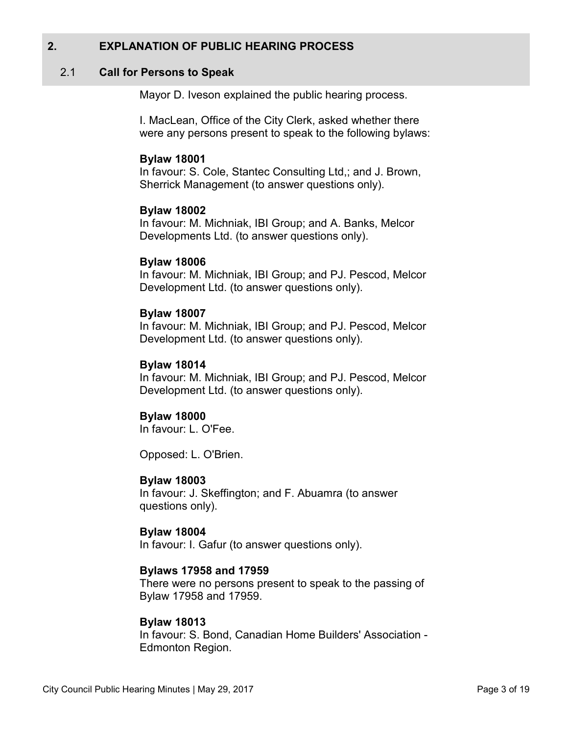## <span id="page-2-0"></span>**2. EXPLANATION OF PUBLIC HEARING PROCESS**

#### 2.1 **Call for Persons to Speak**

Mayor D. Iveson explained the public hearing process.

I. MacLean, Office of the City Clerk, asked whether there were any persons present to speak to the following bylaws:

#### **Bylaw 18001**

In favour: S. Cole, Stantec Consulting Ltd,; and J. Brown, Sherrick Management (to answer questions only).

#### **Bylaw 18002**

In favour: M. Michniak, IBI Group; and A. Banks, Melcor Developments Ltd. (to answer questions only).

#### **Bylaw 18006**

In favour: M. Michniak, IBI Group; and PJ. Pescod, Melcor Development Ltd. (to answer questions only).

#### **Bylaw 18007**

In favour: M. Michniak, IBI Group; and PJ. Pescod, Melcor Development Ltd. (to answer questions only).

#### **Bylaw 18014**

In favour: M. Michniak, IBI Group; and PJ. Pescod, Melcor Development Ltd. (to answer questions only).

## **Bylaw 18000**

In favour: L. O'Fee.

Opposed: L. O'Brien.

#### **Bylaw 18003**

In favour: J. Skeffington; and F. Abuamra (to answer questions only).

#### **Bylaw 18004**

In favour: I. Gafur (to answer questions only).

#### **Bylaws 17958 and 17959**

There were no persons present to speak to the passing of Bylaw 17958 and 17959.

#### **Bylaw 18013**

In favour: S. Bond, Canadian Home Builders' Association - Edmonton Region.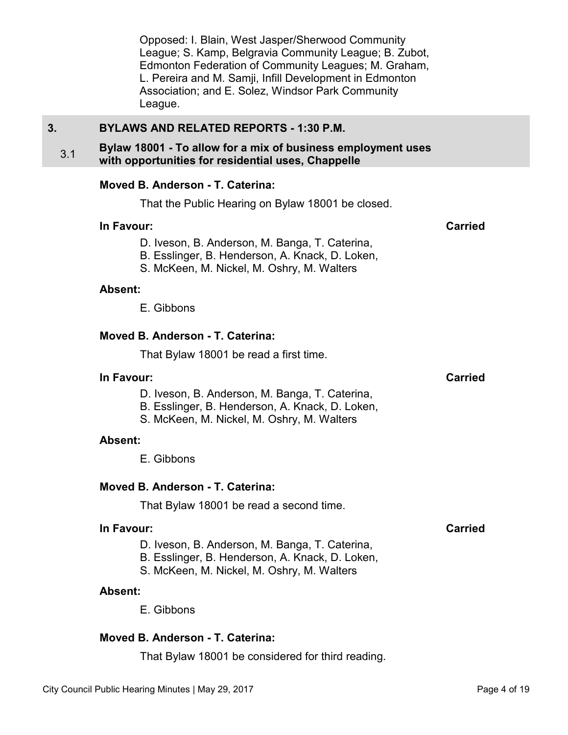Opposed: I. Blain, West Jasper/Sherwood Community League; S. Kamp, Belgravia Community League; B. Zubot, Edmonton Federation of Community Leagues; M. Graham, L. Pereira and M. Samji, Infill Development in Edmonton Association; and E. Solez, Windsor Park Community League.

## <span id="page-3-0"></span>**3. BYLAWS AND RELATED REPORTS - 1:30 P.M.**

#### 3.1 **Bylaw 18001 - To allow for a mix of business employment uses with opportunities for residential uses, Chappelle**

#### **Moved B. Anderson - T. Caterina:**

That the Public Hearing on Bylaw 18001 be closed.

#### **In Favour: Carried**

- D. Iveson, B. Anderson, M. Banga, T. Caterina,
- B. Esslinger, B. Henderson, A. Knack, D. Loken,
- S. McKeen, M. Nickel, M. Oshry, M. Walters

#### **Absent:**

E. Gibbons

#### **Moved B. Anderson - T. Caterina:**

That Bylaw 18001 be read a first time.

#### **In Favour:** Carried Carried Carried Carried Carried Carried Carried Carried Carried Carried Carried Carried Carried Carried Carried Carried Carried Carried Carried Carried Carried Carried Carried Carried Carried Carried C

- D. Iveson, B. Anderson, M. Banga, T. Caterina,
- B. Esslinger, B. Henderson, A. Knack, D. Loken,
- S. McKeen, M. Nickel, M. Oshry, M. Walters

#### **Absent:**

E. Gibbons

#### **Moved B. Anderson - T. Caterina:**

That Bylaw 18001 be read a second time.

#### **In Favour: Carried**

D. Iveson, B. Anderson, M. Banga, T. Caterina,

- B. Esslinger, B. Henderson, A. Knack, D. Loken,
- S. McKeen, M. Nickel, M. Oshry, M. Walters

#### **Absent:**

E. Gibbons

## **Moved B. Anderson - T. Caterina:**

That Bylaw 18001 be considered for third reading.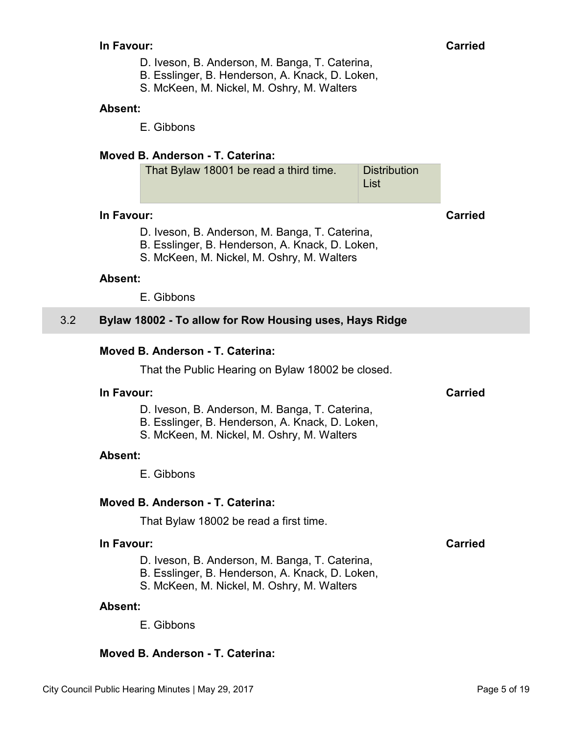- D. Iveson, B. Anderson, M. Banga, T. Caterina,
- B. Esslinger, B. Henderson, A. Knack, D. Loken,
- S. McKeen, M. Nickel, M. Oshry, M. Walters

#### <span id="page-4-0"></span>**Absent:**

E. Gibbons

## **Moved B. Anderson - T. Caterina:**

| That Bylaw 18001 be read a third time. | Distribution |
|----------------------------------------|--------------|
|                                        | ∣ List       |

#### **In Favour: Carried**

- D. Iveson, B. Anderson, M. Banga, T. Caterina,
- B. Esslinger, B. Henderson, A. Knack, D. Loken,
- S. McKeen, M. Nickel, M. Oshry, M. Walters

#### **Absent:**

E. Gibbons

## 3.2 **Bylaw 18002 - To allow for Row Housing uses, Hays Ridge**

## **Moved B. Anderson - T. Caterina:**

That the Public Hearing on Bylaw 18002 be closed.

#### **In Favour: Carried**

- D. Iveson, B. Anderson, M. Banga, T. Caterina,
- B. Esslinger, B. Henderson, A. Knack, D. Loken,
- S. McKeen, M. Nickel, M. Oshry, M. Walters

#### **Absent:**

E. Gibbons

## **Moved B. Anderson - T. Caterina:**

That Bylaw 18002 be read a first time.

## **In Favour: Carried**

- D. Iveson, B. Anderson, M. Banga, T. Caterina,
- B. Esslinger, B. Henderson, A. Knack, D. Loken,
- S. McKeen, M. Nickel, M. Oshry, M. Walters

#### **Absent:**

E. Gibbons

## **Moved B. Anderson - T. Caterina:**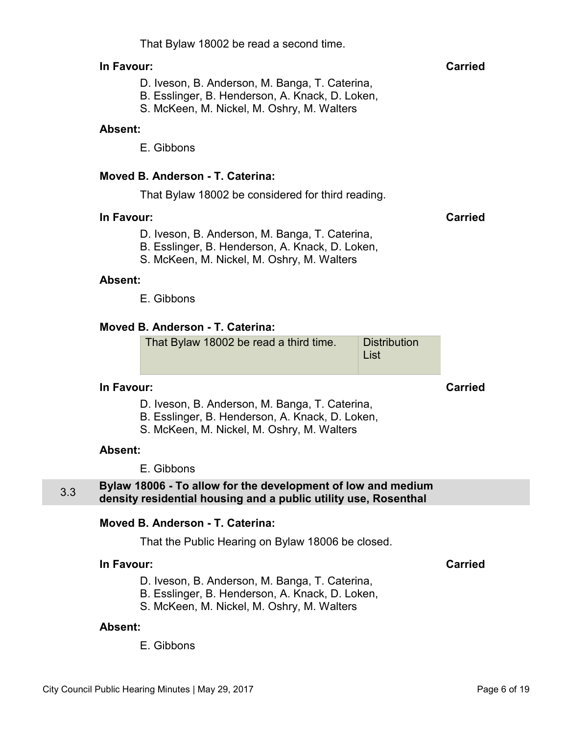That Bylaw 18002 be read a second time.

## <span id="page-5-0"></span>**In Favour: Carried**

- D. Iveson, B. Anderson, M. Banga, T. Caterina,
- B. Esslinger, B. Henderson, A. Knack, D. Loken,
- S. McKeen, M. Nickel, M. Oshry, M. Walters

#### **Absent:**

E. Gibbons

## **Moved B. Anderson - T. Caterina:**

That Bylaw 18002 be considered for third reading.

#### **In Favour: Carried**

- D. Iveson, B. Anderson, M. Banga, T. Caterina,
- B. Esslinger, B. Henderson, A. Knack, D. Loken,
- S. McKeen, M. Nickel, M. Oshry, M. Walters

#### **Absent:**

E. Gibbons

## **Moved B. Anderson - T. Caterina:**

That Bylaw 18002 be read a third time. Distribution List

## **In Favour: Carried**

- D. Iveson, B. Anderson, M. Banga, T. Caterina,
- B. Esslinger, B. Henderson, A. Knack, D. Loken,
- S. McKeen, M. Nickel, M. Oshry, M. Walters

## **Absent:**

E. Gibbons

## 3.3 **Bylaw 18006 - To allow for the development of low and medium density residential housing and a public utility use, Rosenthal**

## **Moved B. Anderson - T. Caterina:**

That the Public Hearing on Bylaw 18006 be closed.

## **In Favour: Carried**

- D. Iveson, B. Anderson, M. Banga, T. Caterina,
- B. Esslinger, B. Henderson, A. Knack, D. Loken,
- S. McKeen, M. Nickel, M. Oshry, M. Walters

## **Absent:**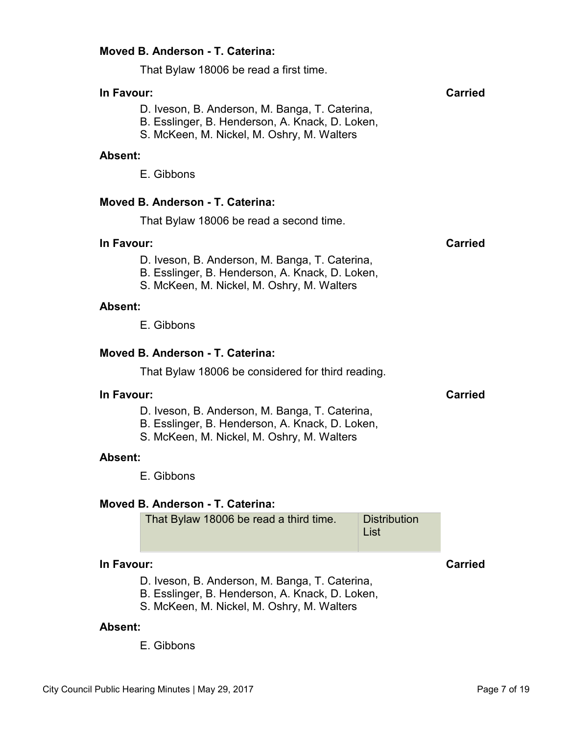#### **Moved B. Anderson - T. Caterina:**

That Bylaw 18006 be read a first time.

## **In Favour: Carried**

- D. Iveson, B. Anderson, M. Banga, T. Caterina,
- B. Esslinger, B. Henderson, A. Knack, D. Loken,
- S. McKeen, M. Nickel, M. Oshry, M. Walters

#### **Absent:**

E. Gibbons

#### **Moved B. Anderson - T. Caterina:**

That Bylaw 18006 be read a second time.

#### **In Favour: Carried**

- D. Iveson, B. Anderson, M. Banga, T. Caterina,
- B. Esslinger, B. Henderson, A. Knack, D. Loken,
- S. McKeen, M. Nickel, M. Oshry, M. Walters

#### **Absent:**

E. Gibbons

#### **Moved B. Anderson - T. Caterina:**

That Bylaw 18006 be considered for third reading.

#### **In Favour: Carried**

- D. Iveson, B. Anderson, M. Banga, T. Caterina,
- B. Esslinger, B. Henderson, A. Knack, D. Loken,
- S. McKeen, M. Nickel, M. Oshry, M. Walters

#### **Absent:**

E. Gibbons

#### **Moved B. Anderson - T. Caterina:**

#### **In Favour: Carried**

D. Iveson, B. Anderson, M. Banga, T. Caterina,

B. Esslinger, B. Henderson, A. Knack, D. Loken,

S. McKeen, M. Nickel, M. Oshry, M. Walters

#### **Absent:**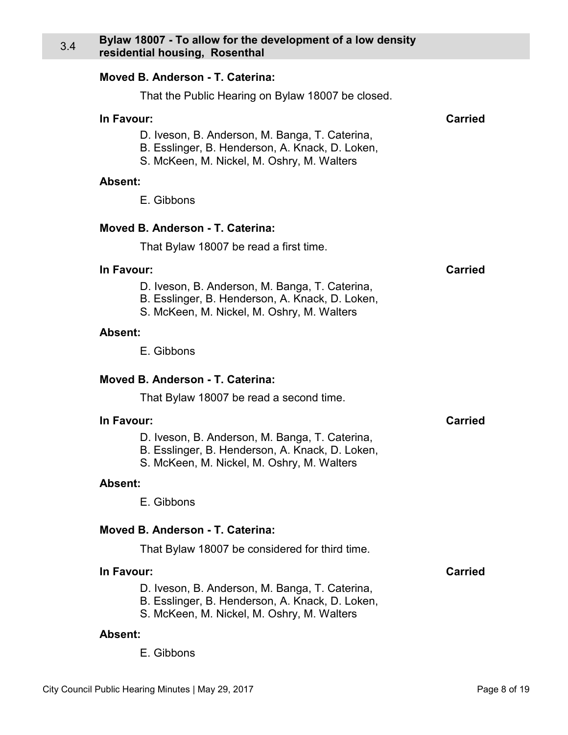#### <span id="page-7-0"></span>3.4 **Bylaw 18007 - To allow for the development of a low density residential housing, Rosenthal**

#### **Moved B. Anderson - T. Caterina:**

That the Public Hearing on Bylaw 18007 be closed.

#### **In Favour: Carried**

- D. Iveson, B. Anderson, M. Banga, T. Caterina,
- B. Esslinger, B. Henderson, A. Knack, D. Loken,
- S. McKeen, M. Nickel, M. Oshry, M. Walters

#### **Absent:**

E. Gibbons

#### **Moved B. Anderson - T. Caterina:**

That Bylaw 18007 be read a first time.

#### **In Favour: Carried**

- D. Iveson, B. Anderson, M. Banga, T. Caterina,
- B. Esslinger, B. Henderson, A. Knack, D. Loken,
- S. McKeen, M. Nickel, M. Oshry, M. Walters

#### **Absent:**

E. Gibbons

#### **Moved B. Anderson - T. Caterina:**

That Bylaw 18007 be read a second time.

#### **In Favour: Carried**

- D. Iveson, B. Anderson, M. Banga, T. Caterina,
- B. Esslinger, B. Henderson, A. Knack, D. Loken,
- S. McKeen, M. Nickel, M. Oshry, M. Walters

#### **Absent:**

E. Gibbons

#### **Moved B. Anderson - T. Caterina:**

That Bylaw 18007 be considered for third time.

#### **In Favour: Carried**

- D. Iveson, B. Anderson, M. Banga, T. Caterina,
- B. Esslinger, B. Henderson, A. Knack, D. Loken,
- S. McKeen, M. Nickel, M. Oshry, M. Walters

#### **Absent:**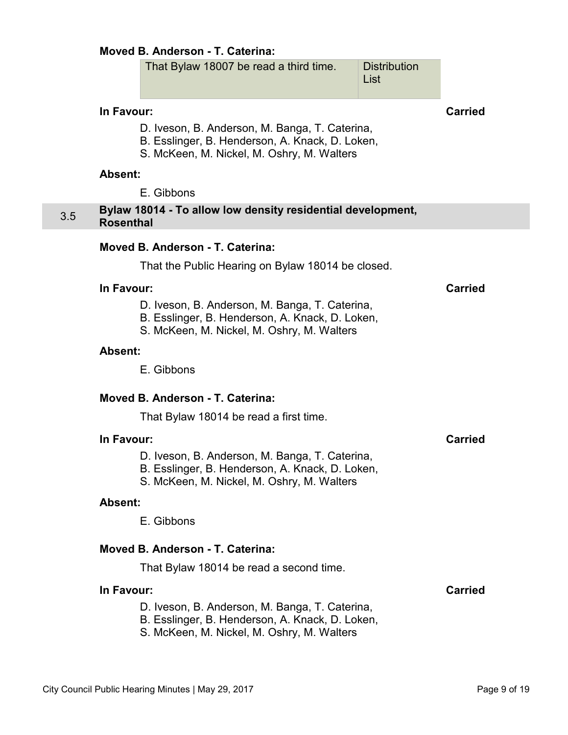#### <span id="page-8-0"></span>**Moved B. Anderson - T. Caterina:**

| That Bylaw 18007 be read a third time. | <b>Distribution</b><br>∣ List |
|----------------------------------------|-------------------------------|
|                                        |                               |

### **In Favour: Carried**

- D. Iveson, B. Anderson, M. Banga, T. Caterina,
- B. Esslinger, B. Henderson, A. Knack, D. Loken,
- S. McKeen, M. Nickel, M. Oshry, M. Walters

#### **Absent:**

E. Gibbons

#### 3.5 **Bylaw 18014 - To allow low density residential development, Rosenthal**

#### **Moved B. Anderson - T. Caterina:**

That the Public Hearing on Bylaw 18014 be closed.

#### **In Favour: Carried**

D. Iveson, B. Anderson, M. Banga, T. Caterina,

- B. Esslinger, B. Henderson, A. Knack, D. Loken,
- S. McKeen, M. Nickel, M. Oshry, M. Walters

#### **Absent:**

E. Gibbons

## **Moved B. Anderson - T. Caterina:**

That Bylaw 18014 be read a first time.

#### **In Favour: Carried**

D. Iveson, B. Anderson, M. Banga, T. Caterina,

- B. Esslinger, B. Henderson, A. Knack, D. Loken,
- S. McKeen, M. Nickel, M. Oshry, M. Walters

#### **Absent:**

E. Gibbons

#### **Moved B. Anderson - T. Caterina:**

That Bylaw 18014 be read a second time.

#### **In Favour: Carried**

D. Iveson, B. Anderson, M. Banga, T. Caterina,

- B. Esslinger, B. Henderson, A. Knack, D. Loken,
- S. McKeen, M. Nickel, M. Oshry, M. Walters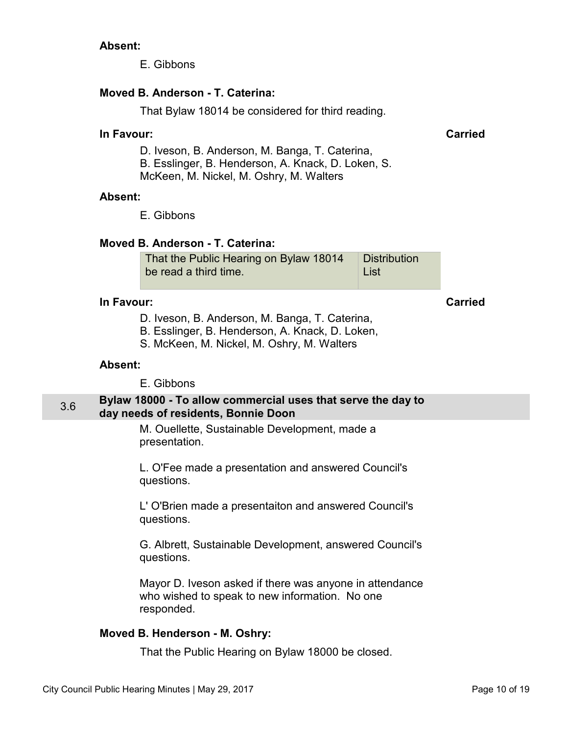#### <span id="page-9-0"></span>**Absent:**

E. Gibbons

## **Moved B. Anderson - T. Caterina:**

That Bylaw 18014 be considered for third reading.

#### **In Favour: Carried**

D. Iveson, B. Anderson, M. Banga, T. Caterina, B. Esslinger, B. Henderson, A. Knack, D. Loken, S. McKeen, M. Nickel, M. Oshry, M. Walters

#### **Absent:**

E. Gibbons

## **Moved B. Anderson - T. Caterina:**

That the Public Hearing on Bylaw 18014 be read a third time. **Distribution** List

#### **In Favour: Carried**

- D. Iveson, B. Anderson, M. Banga, T. Caterina,
- B. Esslinger, B. Henderson, A. Knack, D. Loken,
- S. McKeen, M. Nickel, M. Oshry, M. Walters

#### **Absent:**

E. Gibbons

#### 3.6 **Bylaw 18000 - To allow commercial uses that serve the day to day needs of residents, Bonnie Doon**

M. Ouellette, Sustainable Development, made a presentation.

L. O'Fee made a presentation and answered Council's questions.

L' O'Brien made a presentaiton and answered Council's questions.

G. Albrett, Sustainable Development, answered Council's questions.

Mayor D. Iveson asked if there was anyone in attendance who wished to speak to new information. No one responded.

## **Moved B. Henderson - M. Oshry:**

That the Public Hearing on Bylaw 18000 be closed.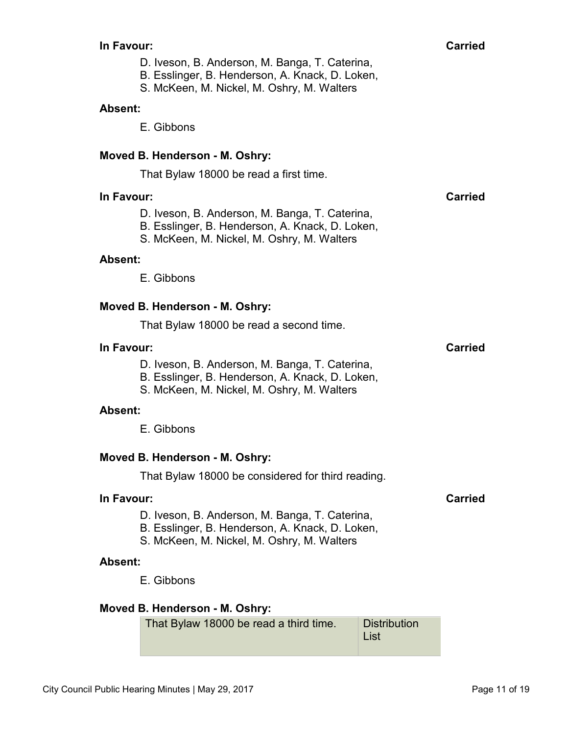- D. Iveson, B. Anderson, M. Banga, T. Caterina,
- B. Esslinger, B. Henderson, A. Knack, D. Loken,
- S. McKeen, M. Nickel, M. Oshry, M. Walters

#### **Absent:**

E. Gibbons

## **Moved B. Henderson - M. Oshry:**

That Bylaw 18000 be read a first time.

#### **In Favour: Carried**

- D. Iveson, B. Anderson, M. Banga, T. Caterina,
- B. Esslinger, B. Henderson, A. Knack, D. Loken,
- S. McKeen, M. Nickel, M. Oshry, M. Walters

#### **Absent:**

E. Gibbons

#### **Moved B. Henderson - M. Oshry:**

That Bylaw 18000 be read a second time.

#### **In Favour: Carried**

- D. Iveson, B. Anderson, M. Banga, T. Caterina,
- B. Esslinger, B. Henderson, A. Knack, D. Loken,
- S. McKeen, M. Nickel, M. Oshry, M. Walters

#### **Absent:**

E. Gibbons

#### **Moved B. Henderson - M. Oshry:**

That Bylaw 18000 be considered for third reading.

#### **In Favour: Carried**

- D. Iveson, B. Anderson, M. Banga, T. Caterina,
- B. Esslinger, B. Henderson, A. Knack, D. Loken,
- S. McKeen, M. Nickel, M. Oshry, M. Walters

#### **Absent:**

E. Gibbons

## **Moved B. Henderson - M. Oshry:**

| That Bylaw 18000 be read a third time. | Distribution |
|----------------------------------------|--------------|
|                                        | ∣ List       |
|                                        |              |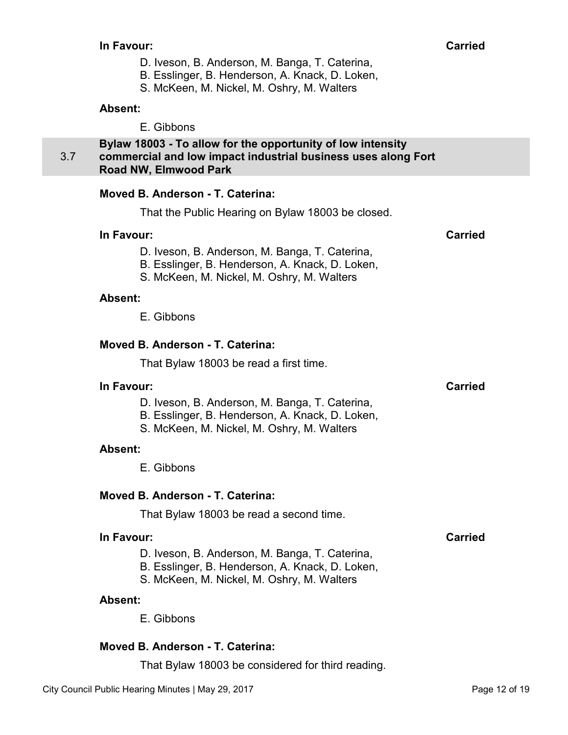- D. Iveson, B. Anderson, M. Banga, T. Caterina,
- B. Esslinger, B. Henderson, A. Knack, D. Loken,
- S. McKeen, M. Nickel, M. Oshry, M. Walters

#### <span id="page-11-0"></span>**Absent:**

E. Gibbons

3.7 **Bylaw 18003 - To allow for the opportunity of low intensity commercial and low impact industrial business uses along Fort Road NW, Elmwood Park** 

#### **Moved B. Anderson - T. Caterina:**

That the Public Hearing on Bylaw 18003 be closed.

#### **In Favour: Carried**

D. Iveson, B. Anderson, M. Banga, T. Caterina,

- B. Esslinger, B. Henderson, A. Knack, D. Loken,
- S. McKeen, M. Nickel, M. Oshry, M. Walters

#### **Absent:**

E. Gibbons

#### **Moved B. Anderson - T. Caterina:**

That Bylaw 18003 be read a first time.

#### **In Favour: Carried**

- D. Iveson, B. Anderson, M. Banga, T. Caterina,
- B. Esslinger, B. Henderson, A. Knack, D. Loken,
- S. McKeen, M. Nickel, M. Oshry, M. Walters

## **Absent:**

E. Gibbons

## **Moved B. Anderson - T. Caterina:**

That Bylaw 18003 be read a second time.

### **In Favour: Carried**

- D. Iveson, B. Anderson, M. Banga, T. Caterina,
- B. Esslinger, B. Henderson, A. Knack, D. Loken,
- S. McKeen, M. Nickel, M. Oshry, M. Walters

#### **Absent:**

E. Gibbons

## **Moved B. Anderson - T. Caterina:**

That Bylaw 18003 be considered for third reading.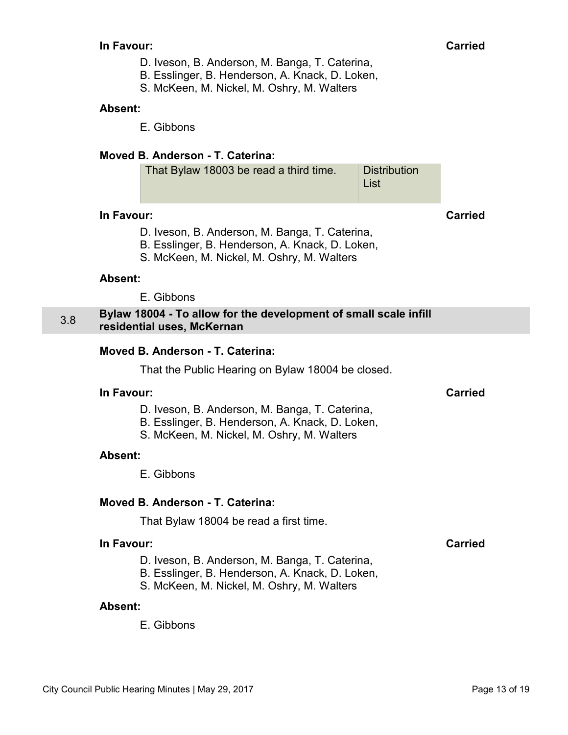- D. Iveson, B. Anderson, M. Banga, T. Caterina,
- B. Esslinger, B. Henderson, A. Knack, D. Loken,
- S. McKeen, M. Nickel, M. Oshry, M. Walters

#### <span id="page-12-0"></span>**Absent:**

E. Gibbons

## **Moved B. Anderson - T. Caterina:**

| Distribution |
|--------------|
| ∣ List       |
|              |

#### **In Favour: Carried**

- D. Iveson, B. Anderson, M. Banga, T. Caterina,
- B. Esslinger, B. Henderson, A. Knack, D. Loken,
- S. McKeen, M. Nickel, M. Oshry, M. Walters

#### **Absent:**

E. Gibbons

#### 3.8 **Bylaw 18004 - To allow for the development of small scale infill residential uses, McKernan**

## **Moved B. Anderson - T. Caterina:**

That the Public Hearing on Bylaw 18004 be closed.

#### **In Favour: Carried**

- D. Iveson, B. Anderson, M. Banga, T. Caterina,
- B. Esslinger, B. Henderson, A. Knack, D. Loken,
- S. McKeen, M. Nickel, M. Oshry, M. Walters

#### **Absent:**

E. Gibbons

## **Moved B. Anderson - T. Caterina:**

That Bylaw 18004 be read a first time.

## **In Favour: Carried**

- 
- D. Iveson, B. Anderson, M. Banga, T. Caterina,
- B. Esslinger, B. Henderson, A. Knack, D. Loken,
- S. McKeen, M. Nickel, M. Oshry, M. Walters

#### **Absent:**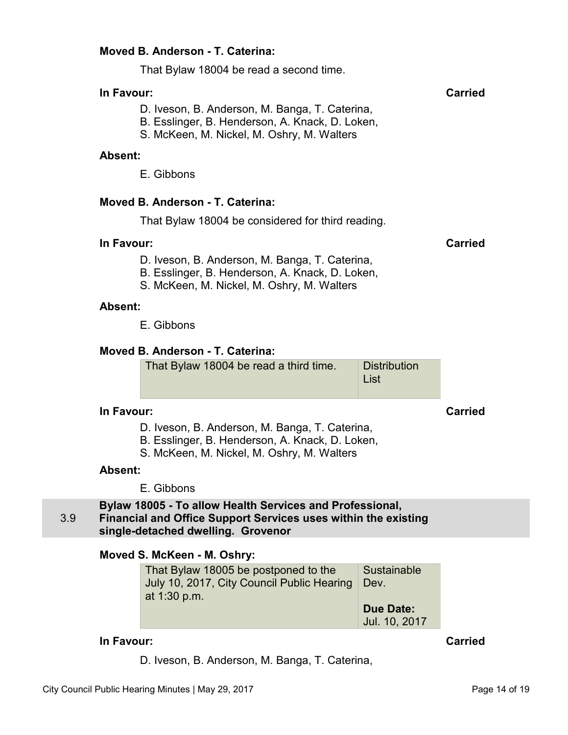## <span id="page-13-0"></span>**Moved B. Anderson - T. Caterina:**

That Bylaw 18004 be read a second time.

## **In Favour: Carried**

- D. Iveson, B. Anderson, M. Banga, T. Caterina,
- B. Esslinger, B. Henderson, A. Knack, D. Loken,
- S. McKeen, M. Nickel, M. Oshry, M. Walters

#### **Absent:**

E. Gibbons

## **Moved B. Anderson - T. Caterina:**

That Bylaw 18004 be considered for third reading.

#### **In Favour: Carried**

- D. Iveson, B. Anderson, M. Banga, T. Caterina,
- B. Esslinger, B. Henderson, A. Knack, D. Loken,
- S. McKeen, M. Nickel, M. Oshry, M. Walters

## **Absent:**

E. Gibbons

## **Moved B. Anderson - T. Caterina:**

| That Bylaw 18004 be read a third time. | Distribution<br>∣ List |
|----------------------------------------|------------------------|
|                                        |                        |

## **In Favour: Carried**

- D. Iveson, B. Anderson, M. Banga, T. Caterina,
- B. Esslinger, B. Henderson, A. Knack, D. Loken,
- S. McKeen, M. Nickel, M. Oshry, M. Walters

#### **Absent:**

E. Gibbons

#### 3.9 **Bylaw 18005 - To allow Health Services and Professional, Financial and Office Support Services uses within the existing single-detached dwelling. Grovenor**

## **Moved S. McKeen - M. Oshry:**

| That Bylaw 18005 be postponed to the       | Sustainable      |
|--------------------------------------------|------------------|
| July 10, 2017, City Council Public Hearing | Dev.             |
| at 1:30 p.m.                               |                  |
|                                            | <b>Due Date:</b> |
|                                            | Jul. 10, 2017    |

## **In Favour: Carried**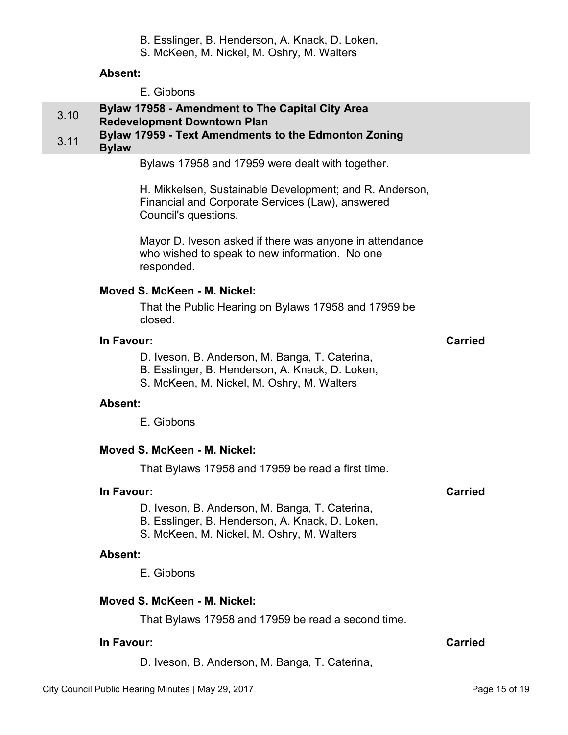## B. Esslinger, B. Henderson, A. Knack, D. Loken,

S. McKeen, M. Nickel, M. Oshry, M. Walters

## **Absent:**

E. Gibbons

# <span id="page-14-0"></span>3.10 **Bylaw 17958 - Amendment to The Capital City Area**

## **Redevelopment Downtown Plan**

# 3.11 **Bylaw 17959 - Text Amendments to the Edmonton Zoning**

## **Bylaw**

Bylaws 17958 and 17959 were dealt with together.

H. Mikkelsen, Sustainable Development; and R. Anderson, Financial and Corporate Services (Law), answered Council's questions.

Mayor D. Iveson asked if there was anyone in attendance who wished to speak to new information. No one responded.

## **Moved S. McKeen - M. Nickel:**

That the Public Hearing on Bylaws 17958 and 17959 be closed.

## **In Favour: Carried**

- D. Iveson, B. Anderson, M. Banga, T. Caterina,
- B. Esslinger, B. Henderson, A. Knack, D. Loken,
- S. McKeen, M. Nickel, M. Oshry, M. Walters

## **Absent:**

E. Gibbons

## **Moved S. McKeen - M. Nickel:**

That Bylaws 17958 and 17959 be read a first time.

## **In Favour:** Carried Carried Carried Carried Carried Carried Carried Carried Carried Carried Carried Carried Carried Carried Carried Carried Carried Carried Carried Carried Carried Carried Carried Carried Carried Carried C

- D. Iveson, B. Anderson, M. Banga, T. Caterina,
- B. Esslinger, B. Henderson, A. Knack, D. Loken,
- S. McKeen, M. Nickel, M. Oshry, M. Walters

## **Absent:**

E. Gibbons

## **Moved S. McKeen - M. Nickel:**

That Bylaws 17958 and 17959 be read a second time.

## **In Favour:** Carried Carried Carried Carried Carried Carried Carried Carried Carried Carried Carried Carried Carried Carried Carried Carried Carried Carried Carried Carried Carried Carried Carried Carried Carried Carried C

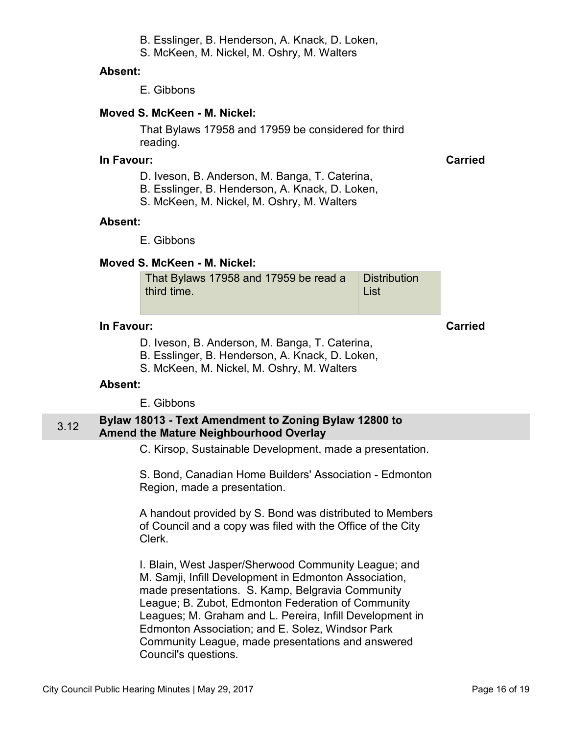B. Esslinger, B. Henderson, A. Knack, D. Loken,

S. McKeen, M. Nickel, M. Oshry, M. Walters

## <span id="page-15-0"></span>**Absent:**

E. Gibbons

## **Moved S. McKeen - M. Nickel:**

That Bylaws 17958 and 17959 be considered for third reading.

## **In Favour: Carried**

- D. Iveson, B. Anderson, M. Banga, T. Caterina,
- B. Esslinger, B. Henderson, A. Knack, D. Loken,
- S. McKeen, M. Nickel, M. Oshry, M. Walters

## **Absent:**

E. Gibbons

## **Moved S. McKeen - M. Nickel:**

| That Bylaws 17958 and 17959 be read a | Distribution |
|---------------------------------------|--------------|
| third time.                           | ∣ List       |

## **In Favour: Carried**

- D. Iveson, B. Anderson, M. Banga, T. Caterina, B. Esslinger, B. Henderson, A. Knack, D. Loken,
- S. McKeen, M. Nickel, M. Oshry, M. Walters

## **Absent:**

E. Gibbons

## 3.12 **Bylaw 18013 - Text Amendment to Zoning Bylaw 12800 to Amend the Mature Neighbourhood Overlay**

C. Kirsop, Sustainable Development, made a presentation.

S. Bond, Canadian Home Builders' Association - Edmonton Region, made a presentation.

A handout provided by S. Bond was distributed to Members of Council and a copy was filed with the Office of the City Clerk.

I. Blain, West Jasper/Sherwood Community League; and M. Samji, Infill Development in Edmonton Association, made presentations. S. Kamp, Belgravia Community League; B. Zubot, Edmonton Federation of Community Leagues; M. Graham and L. Pereira, Infill Development in Edmonton Association; and E. Solez, Windsor Park Community League, made presentations and answered Council's questions.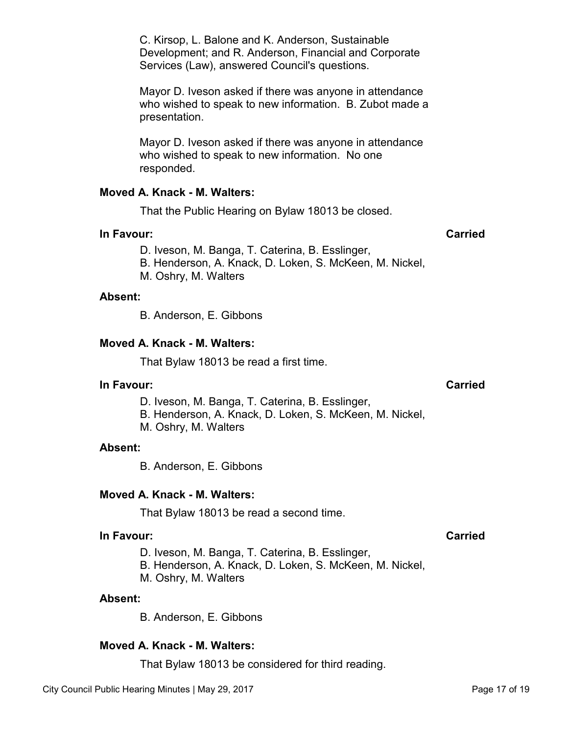B. Anderson, E. Gibbons

#### **Moved A. Knack - M. Walters:**

That Bylaw 18013 be read a first time.

#### **In Favour: Carried**

D. Iveson, M. Banga, T. Caterina, B. Esslinger,

- B. Henderson, A. Knack, D. Loken, S. McKeen, M. Nickel,
- M. Oshry, M. Walters

#### **Absent:**

B. Anderson, E. Gibbons

#### **Moved A. Knack - M. Walters:**

That Bylaw 18013 be read a second time.

#### **In Favour: Carried**

D. Iveson, M. Banga, T. Caterina, B. Esslinger,

B. Henderson, A. Knack, D. Loken, S. McKeen, M. Nickel,

M. Oshry, M. Walters

#### **Absent:**

B. Anderson, E. Gibbons

#### **Moved A. Knack - M. Walters:**

That Bylaw 18013 be considered for third reading.

who wished to speak to new information. No one responded.

Mayor D. Iveson asked if there was anyone in attendance

#### **Moved A. Knack - M. Walters:**

presentation.

That the Public Hearing on Bylaw 18013 be closed.

C. Kirsop, L. Balone and K. Anderson, Sustainable

Services (Law), answered Council's questions.

Development; and R. Anderson, Financial and Corporate

Mayor D. Iveson asked if there was anyone in attendance who wished to speak to new information. B. Zubot made a

#### **In Favour: Carried**

D. Iveson, M. Banga, T. Caterina, B. Esslinger,

- B. Henderson, A. Knack, D. Loken, S. McKeen, M. Nickel,
- M. Oshry, M. Walters

#### **Absent:**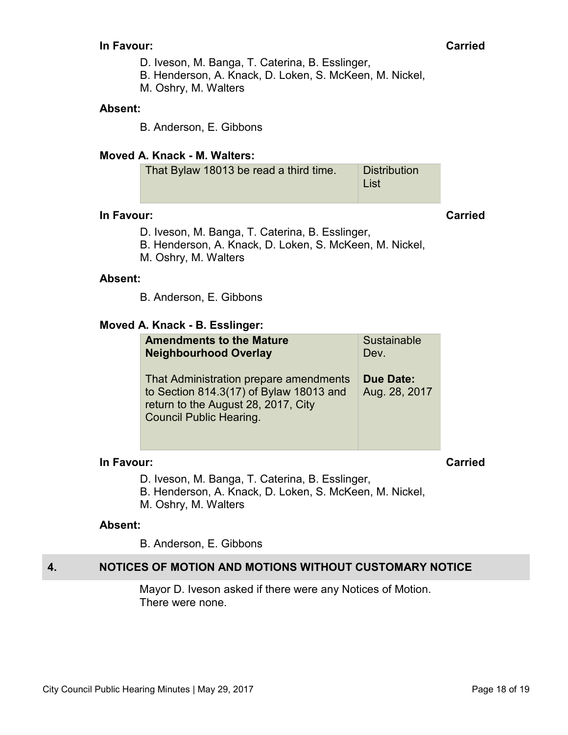- D. Iveson, M. Banga, T. Caterina, B. Esslinger,
- B. Henderson, A. Knack, D. Loken, S. McKeen, M. Nickel,
- M. Oshry, M. Walters

#### <span id="page-17-0"></span>**Absent:**

B. Anderson, E. Gibbons

## **Moved A. Knack - M. Walters:**

| That Bylaw 18013 be read a third time. | <b>Distribution</b> |
|----------------------------------------|---------------------|
|                                        | ∣ List              |

#### **In Favour: Carried**

- D. Iveson, M. Banga, T. Caterina, B. Esslinger,
- B. Henderson, A. Knack, D. Loken, S. McKeen, M. Nickel,
- M. Oshry, M. Walters

#### **Absent:**

B. Anderson, E. Gibbons

#### **Moved A. Knack - B. Esslinger:**

| <b>Amendments to the Mature</b>                                                                                                                            | Sustainable                |
|------------------------------------------------------------------------------------------------------------------------------------------------------------|----------------------------|
| <b>Neighbourhood Overlay</b>                                                                                                                               | Dev.                       |
| That Administration prepare amendments<br>to Section 814.3(17) of Bylaw 18013 and<br>return to the August 28, 2017, City<br><b>Council Public Hearing.</b> | Due Date:<br>Aug. 28, 2017 |

#### **In Favour: Carried**

D. Iveson, M. Banga, T. Caterina, B. Esslinger,

- B. Henderson, A. Knack, D. Loken, S. McKeen, M. Nickel,
- M. Oshry, M. Walters

#### **Absent:**

B. Anderson, E. Gibbons

## **4. NOTICES OF MOTION AND MOTIONS WITHOUT CUSTOMARY NOTICE**

Mayor D. Iveson asked if there were any Notices of Motion. There were none.